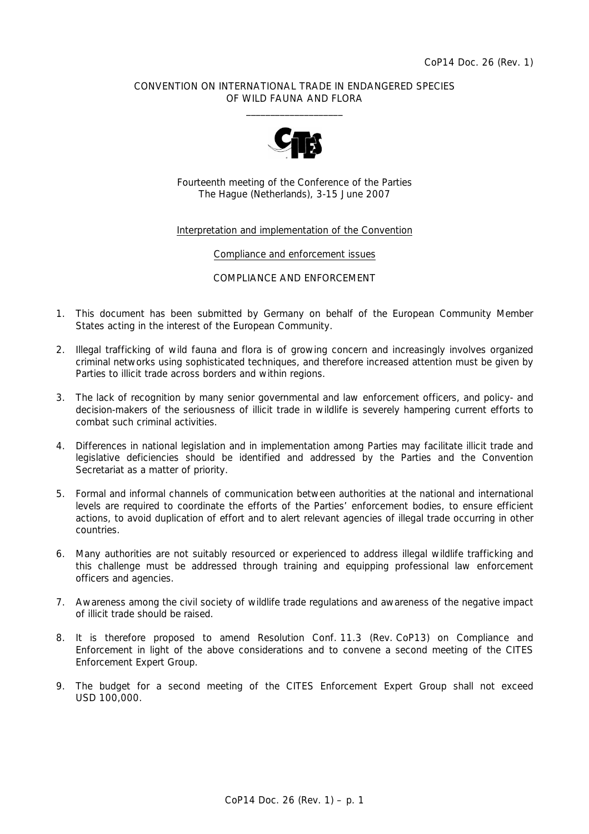# CONVENTION ON INTERNATIONAL TRADE IN ENDANGERED SPECIES OF WILD FAUNA AND FLORA  $\frac{1}{2}$  , and the set of the set of the set of the set of the set of the set of the set of the set of the set of the set of the set of the set of the set of the set of the set of the set of the set of the set of the set



Fourteenth meeting of the Conference of the Parties The Hague (Netherlands), 3-15 June 2007

# Interpretation and implementation of the Convention

#### Compliance and enforcement issues

# COMPLIANCE AND ENFORCEMENT

- 1. This document has been submitted by Germany on behalf of the European Community Member States acting in the interest of the European Community.
- 2. Illegal trafficking of wild fauna and flora is of growing concern and increasingly involves organized criminal networks using sophisticated techniques, and therefore increased attention must be given by Parties to illicit trade across borders and within regions.
- 3. The lack of recognition by many senior governmental and law enforcement officers, and policy- and decision-makers of the seriousness of illicit trade in wildlife is severely hampering current efforts to combat such criminal activities.
- 4. Differences in national legislation and in implementation among Parties may facilitate illicit trade and legislative deficiencies should be identified and addressed by the Parties and the Convention Secretariat as a matter of priority.
- 5. Formal and informal channels of communication between authorities at the national and international levels are required to coordinate the efforts of the Parties' enforcement bodies, to ensure efficient actions, to avoid duplication of effort and to alert relevant agencies of illegal trade occurring in other countries.
- 6. Many authorities are not suitably resourced or experienced to address illegal wildlife trafficking and this challenge must be addressed through training and equipping professional law enforcement officers and agencies.
- 7. Awareness among the civil society of wildlife trade regulations and awareness of the negative impact of illicit trade should be raised.
- 8. It is therefore proposed to amend Resolution Conf. 11.3 (Rev. CoP13) on Compliance and Enforcement in light of the above considerations and to convene a second meeting of the CITES Enforcement Expert Group.
- 9. The budget for a second meeting of the CITES Enforcement Expert Group shall not exceed USD 100,000.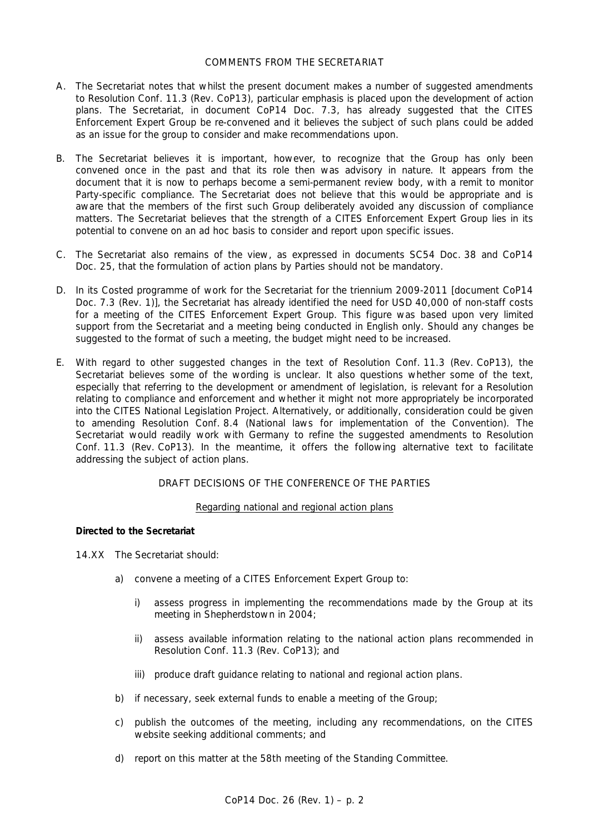## COMMENTS FROM THE SECRETARIAT

- A. The Secretariat notes that whilst the present document makes a number of suggested amendments to Resolution Conf. 11.3 (Rev. CoP13), particular emphasis is placed upon the development of action plans. The Secretariat, in document CoP14 Doc. 7.3, has already suggested that the CITES Enforcement Expert Group be re-convened and it believes the subject of such plans could be added as an issue for the group to consider and make recommendations upon.
- B. The Secretariat believes it is important, however, to recognize that the Group has only been convened once in the past and that its role then was advisory in nature. It appears from the document that it is now to perhaps become a semi-permanent review body, with a remit to monitor Party-specific compliance. The Secretariat does not believe that this would be appropriate and is aware that the members of the first such Group deliberately avoided any discussion of compliance matters. The Secretariat believes that the strength of a CITES Enforcement Expert Group lies in its potential to convene on an *ad hoc* basis to consider and report upon specific issues.
- C. The Secretariat also remains of the view, as expressed in documents SC54 Doc. 38 and CoP14 Doc. 25, that the formulation of action plans by Parties should not be mandatory.
- D. In its Costed programme of work for the Secretariat for the triennium 2009-2011 [document CoP14 Doc. 7.3 (Rev. 1)], the Secretariat has already identified the need for USD 40,000 of non-staff costs for a meeting of the CITES Enforcement Expert Group. This figure was based upon very limited support from the Secretariat and a meeting being conducted in English only. Should any changes be suggested to the format of such a meeting, the budget might need to be increased.
- E. With regard to other suggested changes in the text of Resolution Conf. 11.3 (Rev. CoP13), the Secretariat believes some of the wording is unclear. It also questions whether some of the text, especially that referring to the development or amendment of legislation, is relevant for a Resolution relating to compliance and enforcement and whether it might not more appropriately be incorporated into the CITES National Legislation Project. Alternatively, or additionally, consideration could be given to amending Resolution Conf. 8.4 (National laws for implementation of the Convention). The Secretariat would readily work with Germany to refine the suggested amendments to Resolution Conf. 11.3 (Rev. CoP13). In the meantime, it offers the following alternative text to facilitate addressing the subject of action plans.

# DRAFT DECISIONS OF THE CONFERENCE OF THE PARTIES

# Regarding national and regional action plans

# *Directed to the Secretariat*

- 14.XX The Secretariat should:
	- a) convene a meeting of a CITES Enforcement Expert Group to:
		- i) assess progress in implementing the recommendations made by the Group at its meeting in Shepherdstown in 2004;
		- ii) assess available information relating to the national action plans recommended in Resolution Conf. 11.3 (Rev. CoP13); and
		- iii) produce draft guidance relating to national and regional action plans.
	- b) if necessary, seek external funds to enable a meeting of the Group;
	- c) publish the outcomes of the meeting, including any recommendations, on the CITES website seeking additional comments; and
	- d) report on this matter at the 58th meeting of the Standing Committee.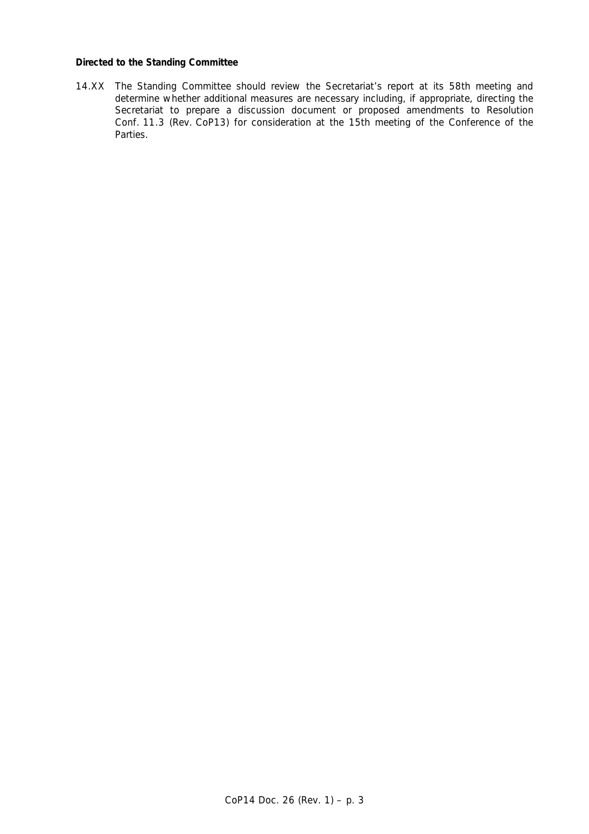### *Directed to the Standing Committee*

 14.XX The Standing Committee should review the Secretariat's report at its 58th meeting and determine whether additional measures are necessary including, if appropriate, directing the Secretariat to prepare a discussion document or proposed amendments to Resolution Conf. 11.3 (Rev. CoP13) for consideration at the 15th meeting of the Conference of the Parties.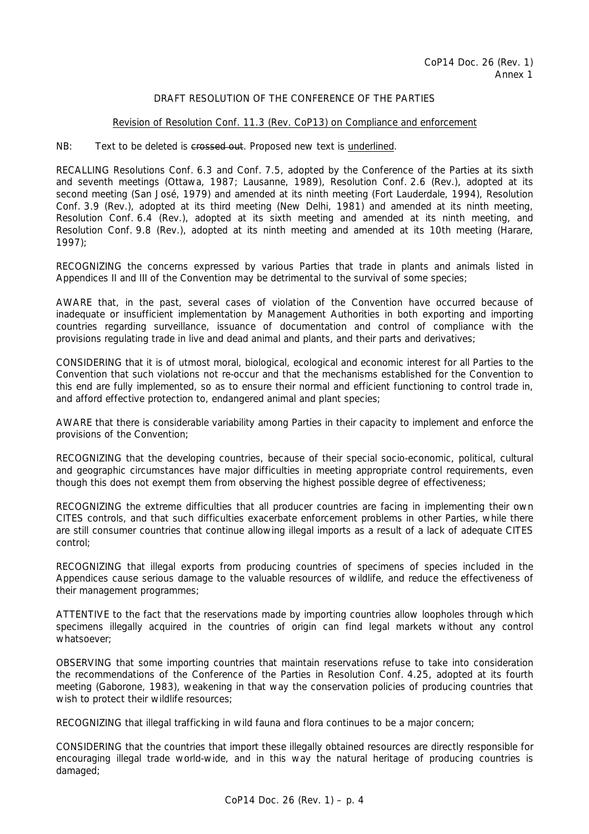# DRAFT RESOLUTION OF THE CONFERENCE OF THE PARTIES

# Revision of Resolution Conf. 11.3 (Rev. CoP13) on Compliance and enforcement

### NB: Text to be deleted is crossed out. Proposed new text is underlined.

RECALLING Resolutions Conf. 6.3 and Conf. 7.5, adopted by the Conference of the Parties at its sixth and seventh meetings (Ottawa, 1987; Lausanne, 1989), Resolution Conf. 2.6 (Rev.), adopted at its second meeting (San José, 1979) and amended at its ninth meeting (Fort Lauderdale, 1994), Resolution Conf. 3.9 (Rev.), adopted at its third meeting (New Delhi, 1981) and amended at its ninth meeting, Resolution Conf. 6.4 (Rev.), adopted at its sixth meeting and amended at its ninth meeting, and Resolution Conf. 9.8 (Rev.), adopted at its ninth meeting and amended at its 10th meeting (Harare, 1997);

RECOGNIZING the concerns expressed by various Parties that trade in plants and animals listed in Appendices II and III of the Convention may be detrimental to the survival of some species;

AWARE that, in the past, several cases of violation of the Convention have occurred because of inadequate or insufficient implementation by Management Authorities in both exporting and importing countries regarding surveillance, issuance of documentation and control of compliance with the provisions regulating trade in live and dead animal and plants, and their parts and derivatives;

CONSIDERING that it is of utmost moral, biological, ecological and economic interest for all Parties to the Convention that such violations not re-occur and that the mechanisms established for the Convention to this end are fully implemented, so as to ensure their normal and efficient functioning to control trade in, and afford effective protection to, endangered animal and plant species;

AWARE that there is considerable variability among Parties in their capacity to implement and enforce the provisions of the Convention;

RECOGNIZING that the developing countries, because of their special socio-economic, political, cultural and geographic circumstances have major difficulties in meeting appropriate control requirements, even though this does not exempt them from observing the highest possible degree of effectiveness;

RECOGNIZING the extreme difficulties that all producer countries are facing in implementing their own CITES controls, and that such difficulties exacerbate enforcement problems in other Parties, while there are still consumer countries that continue allowing illegal imports as a result of a lack of adequate CITES control;

RECOGNIZING that illegal exports from producing countries of specimens of species included in the Appendices cause serious damage to the valuable resources of wildlife, and reduce the effectiveness of their management programmes;

ATTENTIVE to the fact that the reservations made by importing countries allow loopholes through which specimens illegally acquired in the countries of origin can find legal markets without any control whatsoever;

OBSERVING that some importing countries that maintain reservations refuse to take into consideration the recommendations of the Conference of the Parties in Resolution Conf. 4.25, adopted at its fourth meeting (Gaborone, 1983), weakening in that way the conservation policies of producing countries that wish to protect their wildlife resources;

RECOGNIZING that illegal trafficking in wild fauna and flora continues to be a major concern;

CONSIDERING that the countries that import these illegally obtained resources are directly responsible for encouraging illegal trade world-wide, and in this way the natural heritage of producing countries is damaged;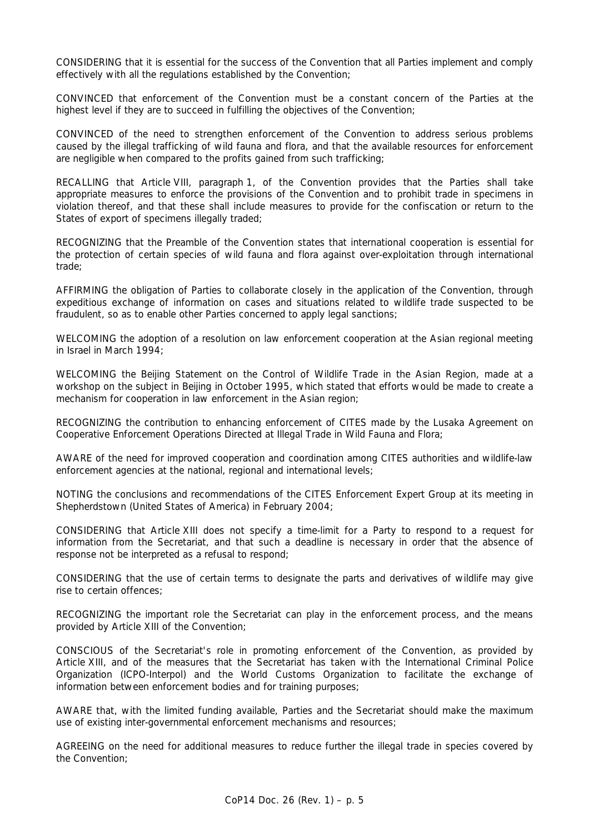CONSIDERING that it is essential for the success of the Convention that all Parties implement and comply effectively with all the regulations established by the Convention;

CONVINCED that enforcement of the Convention must be a constant concern of the Parties at the highest level if they are to succeed in fulfilling the objectives of the Convention;

CONVINCED of the need to strengthen enforcement of the Convention to address serious problems caused by the illegal trafficking of wild fauna and flora, and that the available resources for enforcement are negligible when compared to the profits gained from such trafficking;

RECALLING that Article VIII, paragraph 1, of the Convention provides that the Parties shall take appropriate measures to enforce the provisions of the Convention and to prohibit trade in specimens in violation thereof, and that these shall include measures to provide for the confiscation or return to the States of export of specimens illegally traded;

RECOGNIZING that the Preamble of the Convention states that international cooperation is essential for the protection of certain species of wild fauna and flora against over-exploitation through international trade;

AFFIRMING the obligation of Parties to collaborate closely in the application of the Convention, through expeditious exchange of information on cases and situations related to wildlife trade suspected to be fraudulent, so as to enable other Parties concerned to apply legal sanctions;

WELCOMING the adoption of a resolution on law enforcement cooperation at the Asian regional meeting in Israel in March 1994;

WELCOMING the Beijing Statement on the Control of Wildlife Trade in the Asian Region, made at a workshop on the subject in Beijing in October 1995, which stated that efforts would be made to create a mechanism for cooperation in law enforcement in the Asian region;

RECOGNIZING the contribution to enhancing enforcement of CITES made by the Lusaka Agreement on Cooperative Enforcement Operations Directed at Illegal Trade in Wild Fauna and Flora;

AWARE of the need for improved cooperation and coordination among CITES authorities and wildlife-law enforcement agencies at the national, regional and international levels;

NOTING the conclusions and recommendations of the CITES Enforcement Expert Group at its meeting in Shepherdstown (United States of America) in February 2004;

CONSIDERING that Article XIII does not specify a time-limit for a Party to respond to a request for information from the Secretariat, and that such a deadline is necessary in order that the absence of response not be interpreted as a refusal to respond;

CONSIDERING that the use of certain terms to designate the parts and derivatives of wildlife may give rise to certain offences;

RECOGNIZING the important role the Secretariat can play in the enforcement process, and the means provided by Article XIII of the Convention;

CONSCIOUS of the Secretariat's role in promoting enforcement of the Convention, as provided by Article XIII, and of the measures that the Secretariat has taken with the International Criminal Police Organization (ICPO-Interpol) and the World Customs Organization to facilitate the exchange of information between enforcement bodies and for training purposes;

AWARE that, with the limited funding available, Parties and the Secretariat should make the maximum use of existing inter-governmental enforcement mechanisms and resources;

AGREEING on the need for additional measures to reduce further the illegal trade in species covered by the Convention;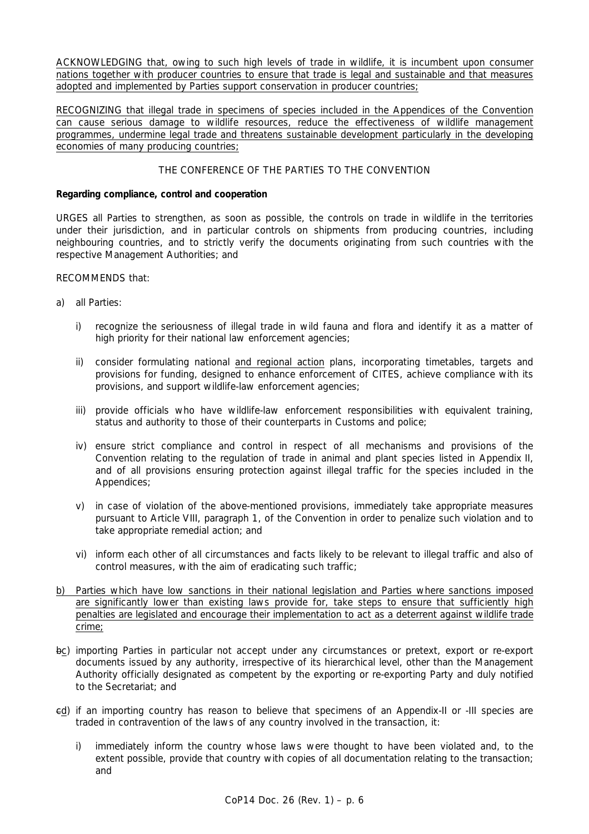ACKNOWLEDGING that, owing to such high levels of trade in wildlife, it is incumbent upon consumer nations together with producer countries to ensure that trade is legal and sustainable and that measures adopted and implemented by Parties support conservation in producer countries;

RECOGNIZING that illegal trade in specimens of species included in the Appendices of the Convention can cause serious damage to wildlife resources, reduce the effectiveness of wildlife management programmes, undermine legal trade and threatens sustainable development particularly in the developing economies of many producing countries;

# THE CONFERENCE OF THE PARTIES TO THE CONVENTION

# *Regarding compliance, control and cooperation*

URGES all Parties to strengthen, as soon as possible, the controls on trade in wildlife in the territories under their jurisdiction, and in particular controls on shipments from producing countries, including neighbouring countries, and to strictly verify the documents originating from such countries with the respective Management Authorities; and

# RECOMMENDS that:

- a) all Parties:
	- i) recognize the seriousness of illegal trade in wild fauna and flora and identify it as a matter of high priority for their national law enforcement agencies;
	- ii) consider formulating national and regional action plans, incorporating timetables, targets and provisions for funding, designed to enhance enforcement of CITES, achieve compliance with its provisions, and support wildlife-law enforcement agencies;
	- iii) provide officials who have wildlife-law enforcement responsibilities with equivalent training, status and authority to those of their counterparts in Customs and police;
	- iv) ensure strict compliance and control in respect of all mechanisms and provisions of the Convention relating to the regulation of trade in animal and plant species listed in Appendix II, and of all provisions ensuring protection against illegal traffic for the species included in the Appendices;
	- v) in case of violation of the above-mentioned provisions, immediately take appropriate measures pursuant to Article VIII, paragraph 1, of the Convention in order to penalize such violation and to take appropriate remedial action; and
	- vi) inform each other of all circumstances and facts likely to be relevant to illegal traffic and also of control measures, with the aim of eradicating such traffic;
- b) Parties which have low sanctions in their national legislation and Parties where sanctions imposed are significantly lower than existing laws provide for, take steps to ensure that sufficiently high penalties are legislated and encourage their implementation to act as a deterrent against wildlife trade crime;
- bc) importing Parties in particular not accept under any circumstances or pretext, export or re-export documents issued by any authority, irrespective of its hierarchical level, other than the Management Authority officially designated as competent by the exporting or re-exporting Party and duly notified to the Secretariat; and
- cd) if an importing country has reason to believe that specimens of an Appendix-II or -III species are traded in contravention of the laws of any country involved in the transaction, it:
	- i) immediately inform the country whose laws were thought to have been violated and, to the extent possible, provide that country with copies of all documentation relating to the transaction; and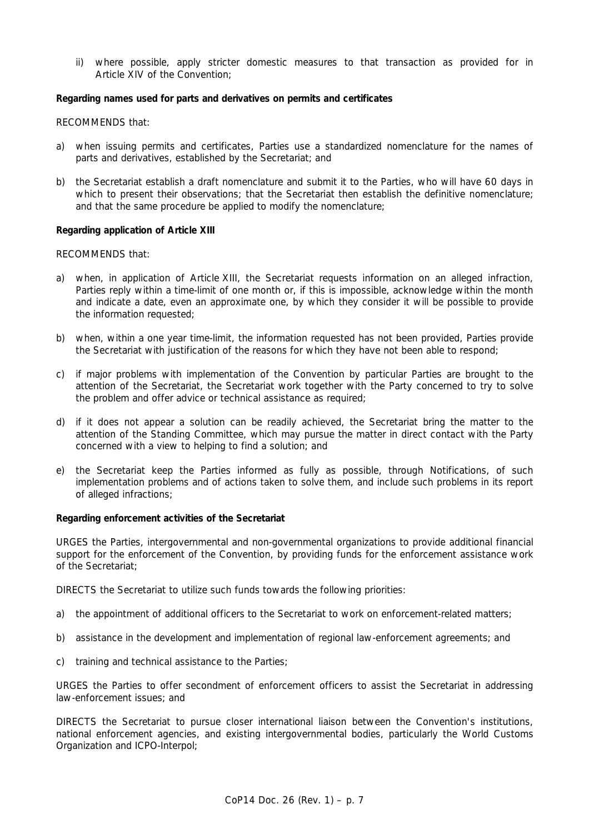ii) where possible, apply stricter domestic measures to that transaction as provided for in Article XIV of the Convention;

# *Regarding names used for parts and derivatives on permits and certificates*

RECOMMENDS that:

- a) when issuing permits and certificates, Parties use a standardized nomenclature for the names of parts and derivatives, established by the Secretariat; and
- b) the Secretariat establish a draft nomenclature and submit it to the Parties, who will have 60 days in which to present their observations; that the Secretariat then establish the definitive nomenclature; and that the same procedure be applied to modify the nomenclature;

# *Regarding application of Article XIII*

RECOMMENDS that:

- a) when, in application of Article XIII, the Secretariat requests information on an alleged infraction, Parties reply within a time-limit of one month or, if this is impossible, acknowledge within the month and indicate a date, even an approximate one, by which they consider it will be possible to provide the information requested;
- b) when, within a one year time-limit, the information requested has not been provided, Parties provide the Secretariat with justification of the reasons for which they have not been able to respond;
- c) if major problems with implementation of the Convention by particular Parties are brought to the attention of the Secretariat, the Secretariat work together with the Party concerned to try to solve the problem and offer advice or technical assistance as required;
- d) if it does not appear a solution can be readily achieved, the Secretariat bring the matter to the attention of the Standing Committee, which may pursue the matter in direct contact with the Party concerned with a view to helping to find a solution; and
- e) the Secretariat keep the Parties informed as fully as possible, through Notifications, of such implementation problems and of actions taken to solve them, and include such problems in its report of alleged infractions;

#### *Regarding enforcement activities of the Secretariat*

URGES the Parties, intergovernmental and non-governmental organizations to provide additional financial support for the enforcement of the Convention, by providing funds for the enforcement assistance work of the Secretariat;

DIRECTS the Secretariat to utilize such funds towards the following priorities:

- a) the appointment of additional officers to the Secretariat to work on enforcement-related matters;
- b) assistance in the development and implementation of regional law-enforcement agreements; and
- c) training and technical assistance to the Parties;

URGES the Parties to offer secondment of enforcement officers to assist the Secretariat in addressing law-enforcement issues; and

DIRECTS the Secretariat to pursue closer international liaison between the Convention's institutions, national enforcement agencies, and existing intergovernmental bodies, particularly the World Customs Organization and ICPO-Interpol;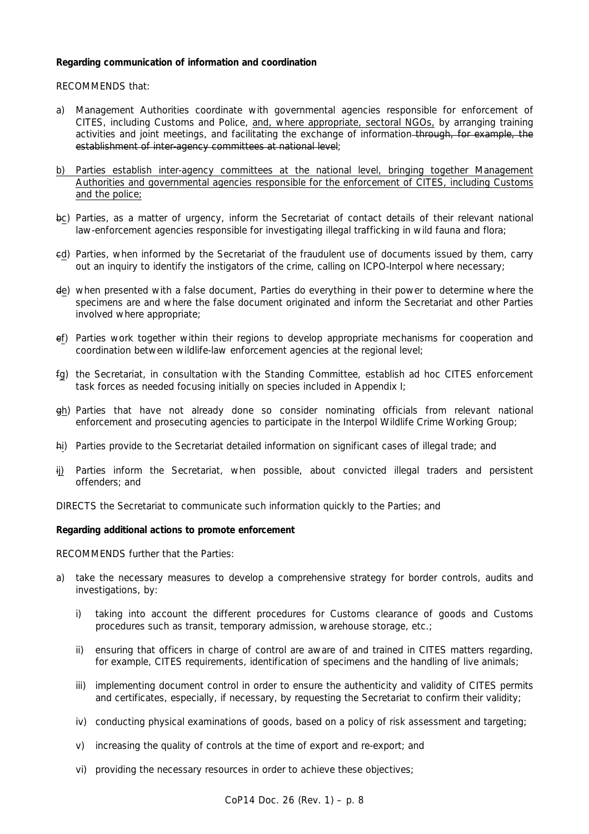# *Regarding communication of information and coordination*

RECOMMENDS that:

- a) Management Authorities coordinate with governmental agencies responsible for enforcement of CITES, including Customs and Police, and, where appropriate, sectoral NGOs, by arranging training activities and joint meetings, and facilitating the exchange of information through, for example, the establishment of inter-agency committees at national level;
- b) Parties establish inter-agency committees at the national level, bringing together Management Authorities and governmental agencies responsible for the enforcement of CITES, including Customs and the police;
- bc) Parties, as a matter of urgency, inform the Secretariat of contact details of their relevant national law-enforcement agencies responsible for investigating illegal trafficking in wild fauna and flora;
- cd) Parties, when informed by the Secretariat of the fraudulent use of documents issued by them, carry out an inquiry to identify the instigators of the crime, calling on ICPO-Interpol where necessary;
- de) when presented with a false document, Parties do everything in their power to determine where the specimens are and where the false document originated and inform the Secretariat and other Parties involved where appropriate;
- ef) Parties work together within their regions to develop appropriate mechanisms for cooperation and coordination between wildlife-law enforcement agencies at the regional level;
- fg) the Secretariat, in consultation with the Standing Committee, establish *ad hoc* CITES enforcement task forces as needed focusing initially on species included in Appendix I;
- gh) Parties that have not already done so consider nominating officials from relevant national enforcement and prosecuting agencies to participate in the Interpol Wildlife Crime Working Group;
- hi) Parties provide to the Secretariat detailed information on significant cases of illegal trade; and
- ij) Parties inform the Secretariat, when possible, about convicted illegal traders and persistent offenders; and

DIRECTS the Secretariat to communicate such information quickly to the Parties; and

#### *Regarding additional actions to promote enforcement*

RECOMMENDS further that the Parties:

- a) take the necessary measures to develop a comprehensive strategy for border controls, audits and investigations, by:
	- i) taking into account the different procedures for Customs clearance of goods and Customs procedures such as transit, temporary admission, warehouse storage, etc.;
	- ii) ensuring that officers in charge of control are aware of and trained in CITES matters regarding, for example, CITES requirements, identification of specimens and the handling of live animals;
	- iii) implementing document control in order to ensure the authenticity and validity of CITES permits and certificates, especially, if necessary, by requesting the Secretariat to confirm their validity;
	- iv) conducting physical examinations of goods, based on a policy of risk assessment and targeting;
	- v) increasing the quality of controls at the time of export and re-export; and
	- vi) providing the necessary resources in order to achieve these objectives;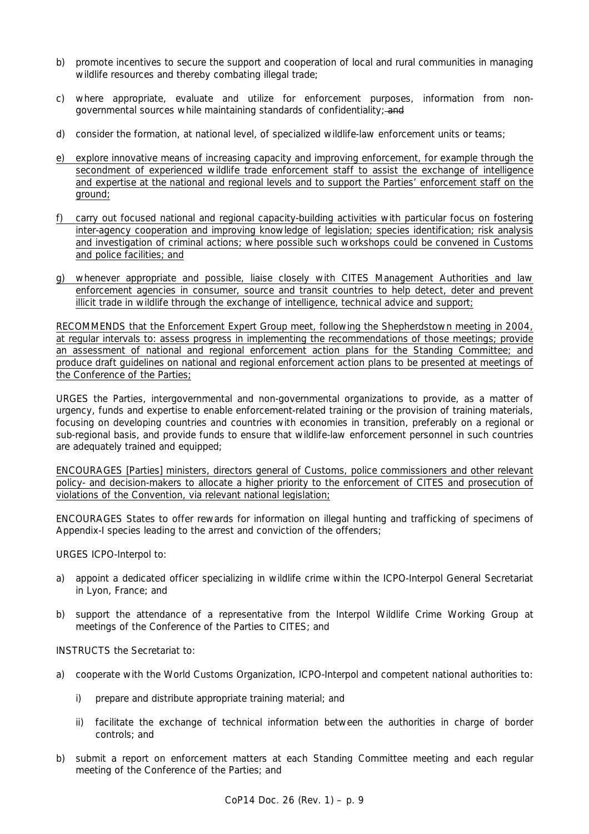- b) promote incentives to secure the support and cooperation of local and rural communities in managing wildlife resources and thereby combating illegal trade;
- c) where appropriate, evaluate and utilize for enforcement purposes, information from nongovernmental sources while maintaining standards of confidentiality; and
- d) consider the formation, at national level, of specialized wildlife-law enforcement units or teams;
- e) explore innovative means of increasing capacity and improving enforcement, for example through the secondment of experienced wildlife trade enforcement staff to assist the exchange of intelligence and expertise at the national and regional levels and to support the Parties' enforcement staff on the ground;
- f) carry out focused national and regional capacity-building activities with particular focus on fostering inter-agency cooperation and improving knowledge of legislation; species identification; risk analysis and investigation of criminal actions; where possible such workshops could be convened in Customs and police facilities; and
- g) whenever appropriate and possible, liaise closely with CITES Management Authorities and law enforcement agencies in consumer, source and transit countries to help detect, deter and prevent illicit trade in wildlife through the exchange of intelligence, technical advice and support;

RECOMMENDS that the Enforcement Expert Group meet, following the Shepherdstown meeting in 2004, at regular intervals to: assess progress in implementing the recommendations of those meetings; provide an assessment of national and regional enforcement action plans for the Standing Committee; and produce draft guidelines on national and regional enforcement action plans to be presented at meetings of the Conference of the Parties;

URGES the Parties, intergovernmental and non-governmental organizations to provide, as a matter of urgency, funds and expertise to enable enforcement-related training or the provision of training materials, focusing on developing countries and countries with economies in transition, preferably on a regional or sub-regional basis, and provide funds to ensure that wildlife-law enforcement personnel in such countries are adequately trained and equipped;

ENCOURAGES [Parties] ministers, directors general of Customs, police commissioners and other relevant policy- and decision-makers to allocate a higher priority to the enforcement of CITES and prosecution of violations of the Convention, via relevant national legislation;

ENCOURAGES States to offer rewards for information on illegal hunting and trafficking of specimens of Appendix-I species leading to the arrest and conviction of the offenders;

URGES ICPO-Interpol to:

- a) appoint a dedicated officer specializing in wildlife crime within the ICPO-Interpol General Secretariat in Lyon, France; and
- b) support the attendance of a representative from the Interpol Wildlife Crime Working Group at meetings of the Conference of the Parties to CITES; and

INSTRUCTS the Secretariat to:

- a) cooperate with the World Customs Organization, ICPO-Interpol and competent national authorities to:
	- i) prepare and distribute appropriate training material; and
	- ii) facilitate the exchange of technical information between the authorities in charge of border controls; and
- b) submit a report on enforcement matters at each Standing Committee meeting and each regular meeting of the Conference of the Parties; and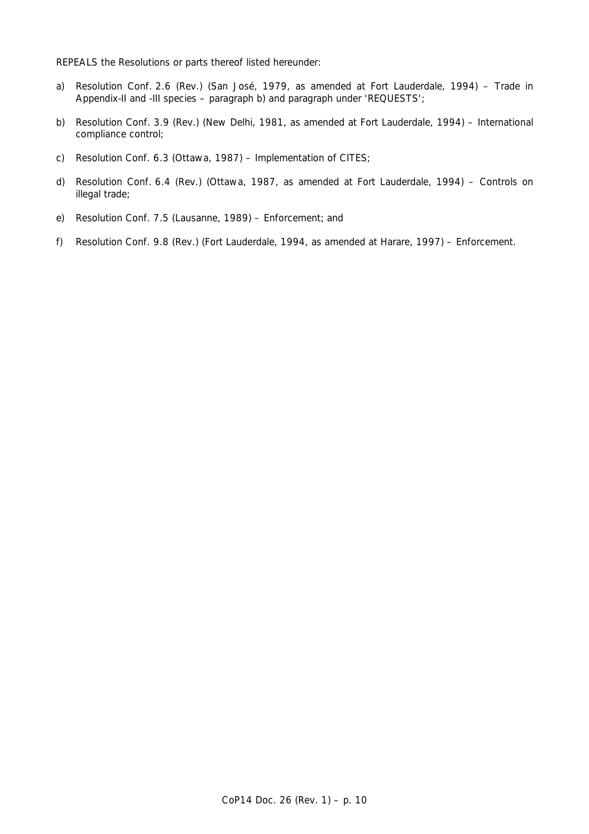REPEALS the Resolutions or parts thereof listed hereunder:

- a) Resolution Conf. 2.6 (Rev.) (San José, 1979, as amended at Fort Lauderdale, 1994) Trade in Appendix-II and -III species – paragraph b) and paragraph under 'REQUESTS';
- b) Resolution Conf. 3.9 (Rev.) (New Delhi, 1981, as amended at Fort Lauderdale, 1994) International compliance control;
- c) Resolution Conf. 6.3 (Ottawa, 1987) Implementation of CITES;
- d) Resolution Conf. 6.4 (Rev.) (Ottawa, 1987, as amended at Fort Lauderdale, 1994) Controls on illegal trade;
- e) Resolution Conf. 7.5 (Lausanne, 1989) Enforcement; and
- f) Resolution Conf. 9.8 (Rev.) (Fort Lauderdale, 1994, as amended at Harare, 1997) Enforcement.